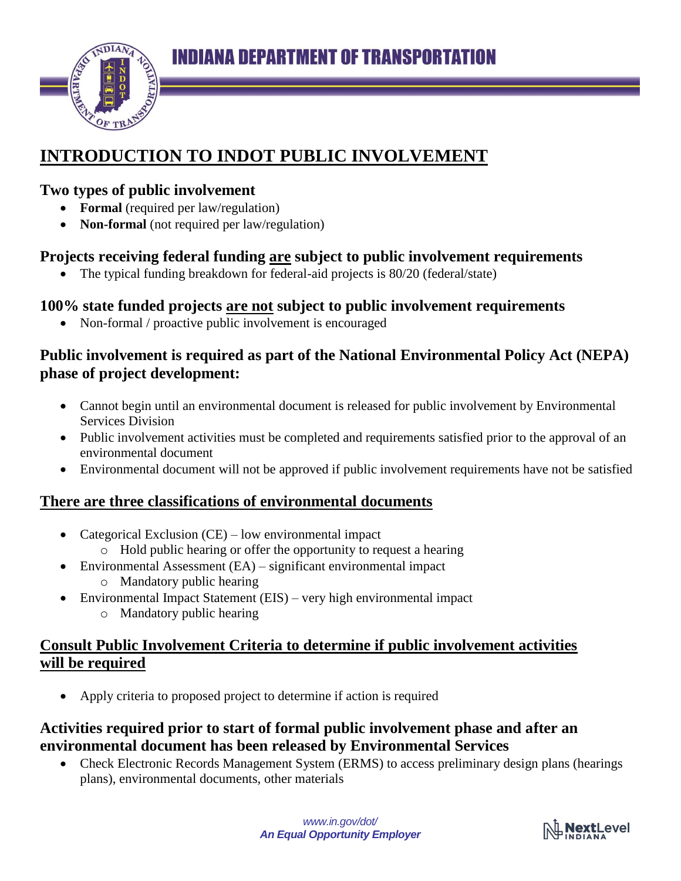

# **INTRODUCTION TO INDOT PUBLIC INVOLVEMENT**

#### **Two types of public involvement**

- **Formal** (required per law/regulation)
- **Non-formal** (not required per law/regulation)

## **Projects receiving federal funding are subject to public involvement requirements**

The typical funding breakdown for federal-aid projects is 80/20 (federal/state)

## **100% state funded projects are not subject to public involvement requirements**

• Non-formal / proactive public involvement is encouraged

#### **Public involvement is required as part of the National Environmental Policy Act (NEPA) phase of project development:**

- Cannot begin until an environmental document is released for public involvement by Environmental Services Division
- Public involvement activities must be completed and requirements satisfied prior to the approval of an environmental document
- Environmental document will not be approved if public involvement requirements have not be satisfied

#### **There are three classifications of environmental documents**

- Categorical Exclusion (CE) low environmental impact
	- o Hold public hearing or offer the opportunity to request a hearing
- Environmental Assessment (EA) significant environmental impact o Mandatory public hearing
- Environmental Impact Statement (EIS) very high environmental impact
	- o Mandatory public hearing

#### **Consult Public Involvement Criteria to determine if public involvement activities will be required**

Apply criteria to proposed project to determine if action is required

#### **Activities required prior to start of formal public involvement phase and after an environmental document has been released by Environmental Services**

 Check Electronic Records Management System (ERMS) to access preliminary design plans (hearings plans), environmental documents, other materials

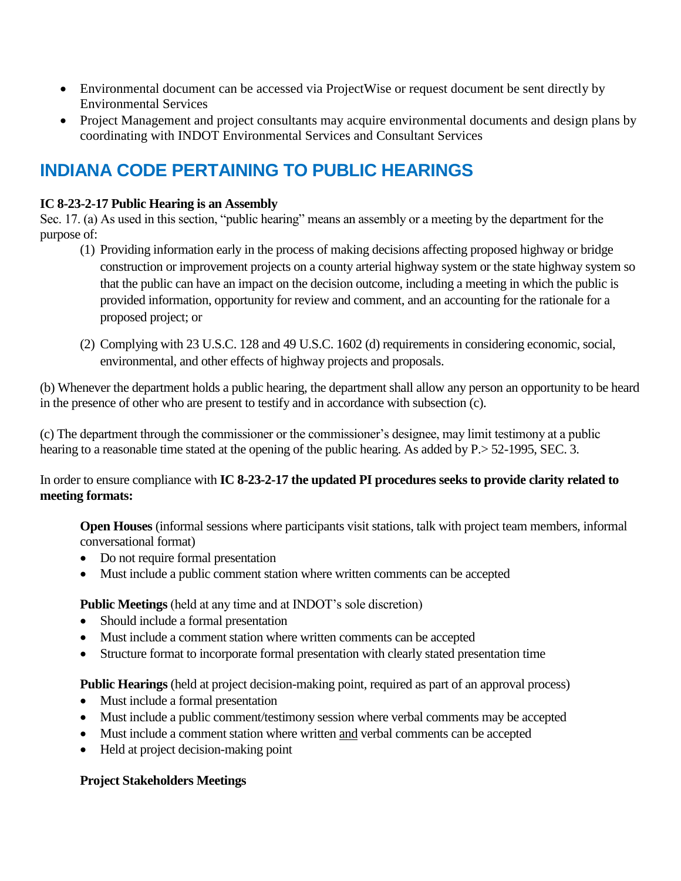- Environmental document can be accessed via ProjectWise or request document be sent directly by Environmental Services
- Project Management and project consultants may acquire environmental documents and design plans by coordinating with INDOT Environmental Services and Consultant Services

## **INDIANA CODE PERTAINING TO PUBLIC HEARINGS**

#### **IC 8-23-2-17 Public Hearing is an Assembly**

Sec. 17. (a) As used in this section, "public hearing" means an assembly or a meeting by the department for the purpose of:

- (1) Providing information early in the process of making decisions affecting proposed highway or bridge construction or improvement projects on a county arterial highway system or the state highway system so that the public can have an impact on the decision outcome, including a meeting in which the public is provided information, opportunity for review and comment, and an accounting for the rationale for a proposed project; or
- (2) Complying with 23 U.S.C. 128 and 49 U.S.C. 1602 (d) requirements in considering economic, social, environmental, and other effects of highway projects and proposals.

(b) Whenever the department holds a public hearing, the department shall allow any person an opportunity to be heard in the presence of other who are present to testify and in accordance with subsection (c).

(c) The department through the commissioner or the commissioner's designee, may limit testimony at a public hearing to a reasonable time stated at the opening of the public hearing. As added by P. > 52-1995, SEC. 3.

In order to ensure compliance with **IC 8-23-2-17 the updated PI procedures seeks to provide clarity related to meeting formats:** 

**Open Houses** (informal sessions where participants visit stations, talk with project team members, informal conversational format)

- Do not require formal presentation
- Must include a public comment station where written comments can be accepted

**Public Meetings** (held at any time and at INDOT's sole discretion)

- Should include a formal presentation
- Must include a comment station where written comments can be accepted
- Structure format to incorporate formal presentation with clearly stated presentation time

**Public Hearings** (held at project decision-making point, required as part of an approval process)

- Must include a formal presentation
- Must include a public comment/testimony session where verbal comments may be accepted
- Must include a comment station where written and verbal comments can be accepted
- Held at project decision-making point

#### **Project Stakeholders Meetings**